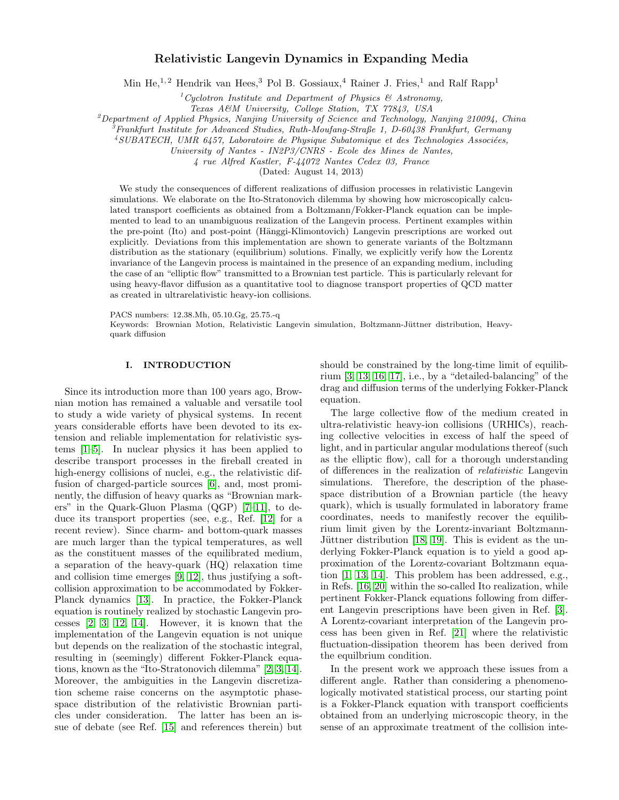# Relativistic Langevin Dynamics in Expanding Media

Min He,<sup>1, 2</sup> Hendrik van Hees,<sup>3</sup> Pol B. Gossiaux,<sup>4</sup> Rainer J. Fries,<sup>1</sup> and Ralf Rapp<sup>1</sup>

<sup>1</sup>Cyclotron Institute and Department of Physics  $\mathcal{B}$  Astronomy,

Texas A&M University, College Station, TX 77843, USA

 $^{2}$ Department of Applied Physics, Nanjing University of Science and Technology, Nanjing 210094, China

<sup>3</sup>Frankfurt Institute for Advanced Studies, Ruth-Moufang-Straße 1, D-60438 Frankfurt, Germany

 $4 SUBATECH$ , UMR 6457, Laboratoire de Physique Subatomique et des Technologies Associées,

University of Nantes - IN2P3/CNRS - Ecole des Mines de Nantes,

4 rue Alfred Kastler, F-44072 Nantes Cedex 03, France

(Dated: August 14, 2013)

We study the consequences of different realizations of diffusion processes in relativistic Langevin simulations. We elaborate on the Ito-Stratonovich dilemma by showing how microscopically calculated transport coefficients as obtained from a Boltzmann/Fokker-Planck equation can be implemented to lead to an unambiguous realization of the Langevin process. Pertinent examples within the pre-point (Ito) and post-point (Hänggi-Klimontovich) Langevin prescriptions are worked out explicitly. Deviations from this implementation are shown to generate variants of the Boltzmann distribution as the stationary (equilibrium) solutions. Finally, we explicitly verify how the Lorentz invariance of the Langevin process is maintained in the presence of an expanding medium, including the case of an "elliptic flow" transmitted to a Brownian test particle. This is particularly relevant for using heavy-flavor diffusion as a quantitative tool to diagnose transport properties of QCD matter as created in ultrarelativistic heavy-ion collisions.

PACS numbers: 12.38.Mh, 05.10.Gg, 25.75.-q

Keywords: Brownian Motion, Relativistic Langevin simulation, Boltzmann-Jüttner distribution, Heavyquark diffusion

## I. INTRODUCTION

Since its introduction more than 100 years ago, Brownian motion has remained a valuable and versatile tool to study a wide variety of physical systems. In recent years considerable efforts have been devoted to its extension and reliable implementation for relativistic systems [\[1](#page-7-0)[–5\]](#page-7-1). In nuclear physics it has been applied to describe transport processes in the fireball created in high-energy collisions of nuclei, e.g., the relativistic diffusion of charged-particle sources [\[6\]](#page-7-2), and, most prominently, the diffusion of heavy quarks as "Brownian markers" in the Quark-Gluon Plasma (QGP) [\[7](#page-7-3)[–11\]](#page-7-4), to deduce its transport properties (see, e.g., Ref. [\[12\]](#page-7-5) for a recent review). Since charm- and bottom-quark masses are much larger than the typical temperatures, as well as the constituent masses of the equilibrated medium, a separation of the heavy-quark (HQ) relaxation time and collision time emerges [\[9,](#page-7-6) [12\]](#page-7-5), thus justifying a softcollision approximation to be accommodated by Fokker-Planck dynamics [\[13\]](#page-7-7). In practice, the Fokker-Planck equation is routinely realized by stochastic Langevin processes [\[2,](#page-7-8) [3,](#page-7-9) [12,](#page-7-5) [14\]](#page-7-10). However, it is known that the implementation of the Langevin equation is not unique but depends on the realization of the stochastic integral, resulting in (seemingly) different Fokker-Planck equations, known as the "Ito-Stratonovich dilemma" [\[2,](#page-7-8) [3,](#page-7-9) [14\]](#page-7-10). Moreover, the ambiguities in the Langevin discretization scheme raise concerns on the asymptotic phasespace distribution of the relativistic Brownian particles under consideration. The latter has been an issue of debate (see Ref. [\[15\]](#page-7-11) and references therein) but

should be constrained by the long-time limit of equilibrium [\[3,](#page-7-9) [13,](#page-7-7) [16,](#page-7-12) [17\]](#page-8-0), i.e., by a "detailed-balancing" of the drag and diffusion terms of the underlying Fokker-Planck equation.

The large collective flow of the medium created in ultra-relativistic heavy-ion collisions (URHICs), reaching collective velocities in excess of half the speed of light, and in particular angular modulations thereof (such as the elliptic flow), call for a thorough understanding of differences in the realization of relativistic Langevin simulations. Therefore, the description of the phasespace distribution of a Brownian particle (the heavy quark), which is usually formulated in laboratory frame coordinates, needs to manifestly recover the equilibrium limit given by the Lorentz-invariant Boltzmann-Jüttner distribution  $[18, 19]$  $[18, 19]$ . This is evident as the underlying Fokker-Planck equation is to yield a good approximation of the Lorentz-covariant Boltzmann equation [\[1,](#page-7-0) [13,](#page-7-7) [14\]](#page-7-10). This problem has been addressed, e.g., in Refs. [\[16,](#page-7-12) [20\]](#page-8-3) within the so-called Ito realization, while pertinent Fokker-Planck equations following from different Langevin prescriptions have been given in Ref. [\[3\]](#page-7-9). A Lorentz-covariant interpretation of the Langevin process has been given in Ref. [\[21\]](#page-8-4) where the relativistic fluctuation-dissipation theorem has been derived from the equilbrium condition.

In the present work we approach these issues from a different angle. Rather than considering a phenomenologically motivated statistical process, our starting point is a Fokker-Planck equation with transport coefficients obtained from an underlying microscopic theory, in the sense of an approximate treatment of the collision inte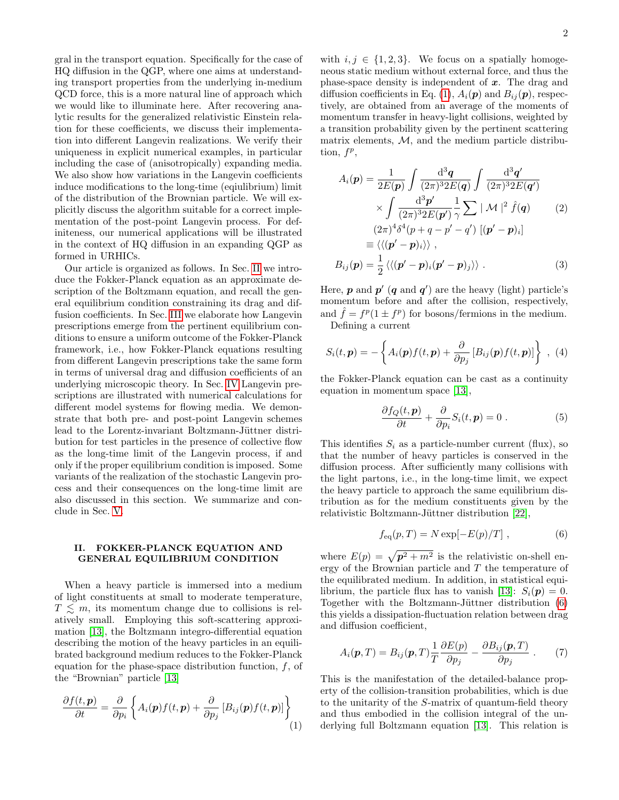gral in the transport equation. Specifically for the case of HQ diffusion in the QGP, where one aims at understanding transport properties from the underlying in-medium QCD force, this is a more natural line of approach which we would like to illuminate here. After recovering analytic results for the generalized relativistic Einstein relation for these coefficients, we discuss their implementation into different Langevin realizations. We verify their uniqueness in explicit numerical examples, in particular including the case of (anisotropically) expanding media. We also show how variations in the Langevin coefficients induce modifications to the long-time (eqiulibrium) limit of the distribution of the Brownian particle. We will explicitly discuss the algorithm suitable for a correct implementation of the post-point Langevin process. For definiteness, our numerical applications will be illustrated in the context of HQ diffusion in an expanding QGP as formed in URHICs.

Our article is organized as follows. In Sec. [II](#page-1-0) we introduce the Fokker-Planck equation as an approximate description of the Boltzmann equation, and recall the general equilibrium condition constraining its drag and diffusion coefficients. In Sec. [III](#page-2-0) we elaborate how Langevin prescriptions emerge from the pertinent equilibrium conditions to ensure a uniform outcome of the Fokker-Planck framework, i.e., how Fokker-Planck equations resulting from different Langevin prescriptions take the same form in terms of universal drag and diffusion coefficients of an underlying microscopic theory. In Sec. [IV](#page-4-0) Langevin prescriptions are illustrated with numerical calculations for different model systems for flowing media. We demonstrate that both pre- and post-point Langevin schemes lead to the Lorentz-invariant Boltzmann-Jüttner distribution for test particles in the presence of collective flow as the long-time limit of the Langevin process, if and only if the proper equilibrium condition is imposed. Some variants of the realization of the stochastic Langevin process and their consequences on the long-time limit are also discussed in this section. We summarize and conclude in Sec. [V.](#page-6-0)

### <span id="page-1-0"></span>II. FOKKER-PLANCK EQUATION AND GENERAL EQUILIBRIUM CONDITION

When a heavy particle is immersed into a medium of light constituents at small to moderate temperature,  $T \leq m$ , its momentum change due to collisions is relatively small. Employing this soft-scattering approximation [\[13\]](#page-7-7), the Boltzmann integro-differential equation describing the motion of the heavy particles in an equilibrated background medium reduces to the Fokker-Planck equation for the phase-space distribution function, f, of the "Brownian" particle [\[13\]](#page-7-7)

<span id="page-1-1"></span>
$$
\frac{\partial f(t, \mathbf{p})}{\partial t} = \frac{\partial}{\partial p_i} \left\{ A_i(\mathbf{p}) f(t, \mathbf{p}) + \frac{\partial}{\partial p_j} \left[ B_{ij}(\mathbf{p}) f(t, \mathbf{p}) \right] \right\}
$$
(1)

with  $i, j \in \{1, 2, 3\}$ . We focus on a spatially homogeneous static medium without external force, and thus the phase-space density is independent of  $x$ . The drag and diffusion coefficients in Eq. [\(1\)](#page-1-1),  $A_i(\mathbf{p})$  and  $B_{ij}(\mathbf{p})$ , respectively, are obtained from an average of the moments of momentum transfer in heavy-light collisions, weighted by a transition probability given by the pertinent scattering matrix elements,  $M$ , and the medium particle distribution,  $f^p$ ,

<span id="page-1-3"></span>
$$
A_i(\mathbf{p}) = \frac{1}{2E(\mathbf{p})} \int \frac{\mathrm{d}^3 \mathbf{q}}{(2\pi)^3 2E(\mathbf{q})} \int \frac{\mathrm{d}^3 \mathbf{q}'}{(2\pi)^3 2E(\mathbf{q}')} \times \int \frac{\mathrm{d}^3 \mathbf{p}'}{(2\pi)^3 2E(\mathbf{p}')} \frac{1}{\gamma} \sum |\mathcal{M}|^2 \hat{f}(\mathbf{q}) \qquad (2) (2\pi)^4 \delta^4(p+q-p'-q') \left[ (\mathbf{p}'-\mathbf{p})_i \right] \equiv \langle \langle (\mathbf{p}'-\mathbf{p})_i \rangle \rangle , B_{ij}(\mathbf{p}) = \frac{1}{2} \langle \langle (\mathbf{p}'-\mathbf{p})_i(\mathbf{p}'-\mathbf{p})_j \rangle \rangle . \qquad (3)
$$

Here,  $p$  and  $p'$  (q and  $q'$ ) are the heavy (light) particle's momentum before and after the collision, respectively, and  $\hat{f} = f^p(1 \pm f^p)$  for bosons/fermions in the medium. Defining a current

$$
S_i(t, \mathbf{p}) = -\left\{ A_i(\mathbf{p}) f(t, \mathbf{p}) + \frac{\partial}{\partial p_j} \left[ B_{ij}(\mathbf{p}) f(t, \mathbf{p}) \right] \right\} , \tag{4}
$$

the Fokker-Planck equation can be cast as a continuity equation in momentum space [\[13\]](#page-7-7),

<span id="page-1-4"></span>
$$
\frac{\partial f_Q(t, \mathbf{p})}{\partial t} + \frac{\partial}{\partial p_i} S_i(t, \mathbf{p}) = 0.
$$
 (5)

This identifies  $S_i$  as a particle-number current (flux), so that the number of heavy particles is conserved in the diffusion process. After sufficiently many collisions with the light partons, i.e., in the long-time limit, we expect the heavy particle to approach the same equilibrium distribution as for the medium constituents given by the relativistic Boltzmann-Jüttner distribution [\[22\]](#page-8-5),

<span id="page-1-2"></span>
$$
f_{\text{eq}}(p,T) = N \exp[-E(p)/T], \qquad (6)
$$

where  $E(p) = \sqrt{p^2 + m^2}$  is the relativistic on-shell energy of the Brownian particle and T the temperature of the equilibrated medium. In addition, in statistical equi-librium, the particle flux has to vanish [\[13\]](#page-7-7):  $S_i(\mathbf{p}) = 0$ . Together with the Boltzmann-Jüttner distribution  $(6)$ this yields a dissipation-fluctuation relation between drag and diffusion coefficient,

<span id="page-1-5"></span>
$$
A_i(\mathbf{p},T) = B_{ij}(\mathbf{p},T)\frac{1}{T}\frac{\partial E(p)}{\partial p_j} - \frac{\partial B_{ij}(\mathbf{p},T)}{\partial p_j} . \tag{7}
$$

This is the manifestation of the detailed-balance property of the collision-transition probabilities, which is due to the unitarity of the S-matrix of quantum-field theory and thus embodied in the collision integral of the underlying full Boltzmann equation [\[13\]](#page-7-7). This relation is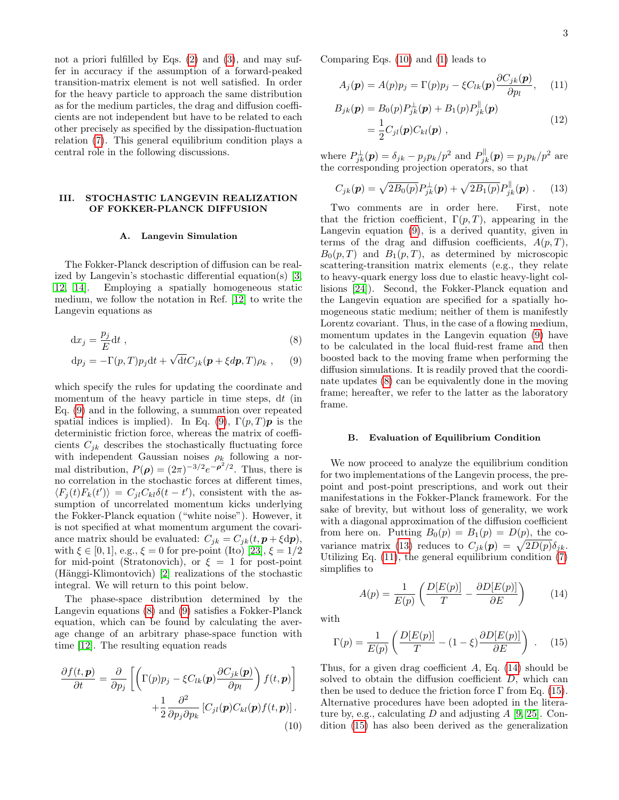not a priori fulfilled by Eqs.  $(2)$  and  $(3)$ , and may suffer in accuracy if the assumption of a forward-peaked transition-matrix element is not well satisfied. In order for the heavy particle to approach the same distribution as for the medium particles, the drag and diffusion coefficients are not independent but have to be related to each other precisely as specified by the dissipation-fluctuation relation [\(7\)](#page-1-5). This general equilibrium condition plays a central role in the following discussions.

## <span id="page-2-0"></span>III. STOCHASTIC LANGEVIN REALIZATION OF FOKKER-PLANCK DIFFUSION

#### A. Langevin Simulation

The Fokker-Planck description of diffusion can be realized by Langevin's stochastic differential equation(s) [\[3,](#page-7-9) [12,](#page-7-5) [14\]](#page-7-10). Employing a spatially homogeneous static medium, we follow the notation in Ref. [\[12\]](#page-7-5) to write the Langevin equations as

$$
dx_j = \frac{p_j}{E} dt , \t\t(8)
$$

$$
\mathrm{d}p_j = -\Gamma(p,T)p_j\mathrm{d}t + \sqrt{\mathrm{d}t}C_{jk}(\boldsymbol{p} + \xi d\boldsymbol{p},T)\rho_k ,\qquad(9)
$$

which specify the rules for updating the coordinate and momentum of the heavy particle in time steps, dt (in Eq. [\(9\)](#page-2-1) and in the following, a summation over repeated spatial indices is implied). In Eq. [\(9\)](#page-2-1),  $\Gamma(p, T)p$  is the deterministic friction force, whereas the matrix of coefficients  $C_{ik}$  describes the stochastically fluctuating force with independent Gaussian noises  $\rho_k$  following a normal distribution,  $P(\rho) = (2\pi)^{-3/2} e^{-\rho^2/2}$ . Thus, there is no correlation in the stochastic forces at different times,  $\langle F_j(t)F_k(t')\rangle = C_{jl}C_{kl}\delta(t-t')$ , consistent with the assumption of uncorrelated momentum kicks underlying the Fokker-Planck equation ("white noise"). However, it is not specified at what momentum argument the covariance matrix should be evaluated:  $C_{jk} = C_{jk}(t, \mathbf{p} + \xi \mathrm{d}\mathbf{p}),$ with  $\xi \in [0, 1]$ , e.g.,  $\xi = 0$  for pre-point (Ito) [\[23\]](#page-8-6),  $\xi = 1/2$ for mid-point (Stratonovich), or  $\xi = 1$  for post-point  $(Hänggi-Klimontovich)$  [\[2\]](#page-7-8) realizations of the stochastic integral. We will return to this point below.

The phase-space distribution determined by the Langevin equations [\(8\)](#page-2-2) and [\(9\)](#page-2-1) satisfies a Fokker-Planck equation, which can be found by calculating the average change of an arbitrary phase-space function with time [\[12\]](#page-7-5). The resulting equation reads

<span id="page-2-3"></span>
$$
\frac{\partial f(t, \mathbf{p})}{\partial t} = \frac{\partial}{\partial p_j} \left[ \left( \Gamma(p) p_j - \xi C_{lk}(\mathbf{p}) \frac{\partial C_{jk}(\mathbf{p})}{\partial p_l} \right) f(t, \mathbf{p}) \right] + \frac{1}{2} \frac{\partial^2}{\partial p_j \partial p_k} \left[ C_{jl}(\mathbf{p}) C_{kl}(\mathbf{p}) f(t, \mathbf{p}) \right].
$$
\n(10)

Comparing Eqs. [\(10\)](#page-2-3) and [\(1\)](#page-1-1) leads to

<span id="page-2-5"></span>
$$
A_j(\mathbf{p}) = A(p)p_j = \Gamma(p)p_j - \xi C_{lk}(\mathbf{p})\frac{\partial C_{jk}(\mathbf{p})}{\partial p_l}, \quad (11)
$$

$$
B_{jk}(\boldsymbol{p}) = B_0(p) P_{jk}^{\perp}(\boldsymbol{p}) + B_1(p) P_{jk}^{\parallel}(\boldsymbol{p})
$$
  
= 
$$
\frac{1}{2} C_{jl}(\boldsymbol{p}) C_{kl}(\boldsymbol{p}) ,
$$
 (12)

where  $P_{jk}^{\perp}(\mathbf{p}) = \delta_{jk} - p_j p_k / p^2$  and  $P_{jk}^{\parallel}(\mathbf{p}) = p_j p_k / p^2$  are the corresponding projection operators, so that

<span id="page-2-4"></span>
$$
C_{jk}(\mathbf{p}) = \sqrt{2B_0(p)} P_{jk}^{\perp}(\mathbf{p}) + \sqrt{2B_1(p)} P_{jk}^{\parallel}(\mathbf{p}) . \tag{13}
$$

Two comments are in order here. First, note that the friction coefficient,  $\Gamma(p,T)$ , appearing in the Langevin equation [\(9\)](#page-2-1), is a derived quantity, given in terms of the drag and diffusion coefficients,  $A(p, T)$ ,  $B_0(p,T)$  and  $B_1(p,T)$ , as determined by microscopic scattering-transition matrix elements (e.g., they relate to heavy-quark energy loss due to elastic heavy-light collisions [\[24\]](#page-8-7)). Second, the Fokker-Planck equation and the Langevin equation are specified for a spatially homogeneous static medium; neither of them is manifestly Lorentz covariant. Thus, in the case of a flowing medium, momentum updates in the Langevin equation [\(9\)](#page-2-1) have to be calculated in the local fluid-rest frame and then boosted back to the moving frame when performing the diffusion simulations. It is readily proved that the coordinate updates [\(8\)](#page-2-2) can be equivalently done in the moving frame; hereafter, we refer to the latter as the laboratory frame.

### <span id="page-2-2"></span><span id="page-2-1"></span>B. Evaluation of Equilibrium Condition

We now proceed to analyze the equilibrium condition for two implementations of the Langevin process, the prepoint and post-point prescriptions, and work out their manifestations in the Fokker-Planck framework. For the sake of brevity, but without loss of generality, we work with a diagonal approximation of the diffusion coefficient from here on. Putting  $B_0(p) = B_1(p) = D(p)$ , the co-variance matrix [\(13\)](#page-2-4) reduces to  $C_{jk}(\mathbf{p}) = \sqrt{2D(p)}\delta_{jk}$ . Utilizing Eq. [\(11\)](#page-2-5), the general equilibrium condition [\(7\)](#page-1-5) simplifies to

<span id="page-2-6"></span>
$$
A(p) = \frac{1}{E(p)} \left( \frac{D[E(p)]}{T} - \frac{\partial D[E(p)]}{\partial E} \right) \tag{14}
$$

with

<span id="page-2-7"></span>
$$
\Gamma(p) = \frac{1}{E(p)} \left( \frac{D[E(p)]}{T} - (1 - \xi) \frac{\partial D[E(p)]}{\partial E} \right) . \quad (15)
$$

Thus, for a given drag coefficient  $A$ , Eq. [\(14\)](#page-2-6) should be solved to obtain the diffusion coefficient  $D$ , which can then be used to deduce the friction force  $\Gamma$  from Eq. [\(15\)](#page-2-7). Alternative procedures have been adopted in the literature by, e.g., calculating  $D$  and adjusting  $A$  [\[9,](#page-7-6) [25\]](#page-8-8). Condition [\(15\)](#page-2-7) has also been derived as the generalization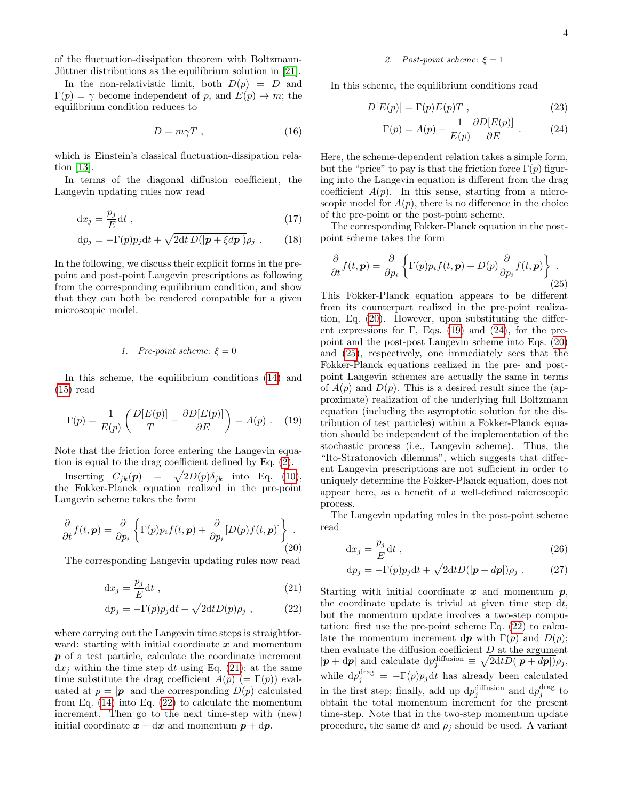of the fluctuation-dissipation theorem with Boltzmann-Jüttner distributions as the equilibrium solution in [\[21\]](#page-8-4).

In the non-relativistic limit, both  $D(p) = D$  and  $\Gamma(p) = \gamma$  become independent of p, and  $E(p) \to m$ ; the equilibrium condition reduces to

$$
D = m\gamma T \t{,} \t(16)
$$

which is Einstein's classical fluctuation-dissipation relation [\[13\]](#page-7-7).

In terms of the diagonal diffusion coefficient, the Langevin updating rules now read

$$
\mathrm{d}x_j = \frac{p_j}{E} \mathrm{d}t \;, \tag{17}
$$

$$
\mathrm{d}p_j = -\Gamma(p)p_j\mathrm{d}t + \sqrt{2\mathrm{d}t\,D(|\mathbf{p} + \xi d\mathbf{p}|)}\rho_j \ . \qquad (18)
$$

In the following, we discuss their explicit forms in the prepoint and post-point Langevin prescriptions as following from the corresponding equilibrium condition, and show that they can both be rendered compatible for a given microscopic model.

#### 1. Pre-point scheme:  $\xi = 0$

In this scheme, the equilibrium conditions [\(14\)](#page-2-6) and [\(15\)](#page-2-7) read

<span id="page-3-3"></span>
$$
\Gamma(p) = \frac{1}{E(p)} \left( \frac{D[E(p)]}{T} - \frac{\partial D[E(p)]}{\partial E} \right) = A(p) . \quad (19)
$$

Note that the friction force entering the Langevin equation is equal to the drag coefficient defined by Eq. [\(2\)](#page-1-3).

Inserting  $C_{jk}(\mathbf{p}) = \sqrt{2D(p)}\delta_{jk}$  into Eq. [\(10\)](#page-2-3), the Fokker-Planck equation realized in the pre-point Langevin scheme takes the form

<span id="page-3-2"></span>
$$
\frac{\partial}{\partial t}f(t,\mathbf{p}) = \frac{\partial}{\partial p_i} \left\{ \Gamma(p)p_i f(t,\mathbf{p}) + \frac{\partial}{\partial p_i} [D(p)f(t,\mathbf{p})] \right\}.
$$
\n(20)

The corresponding Langevin updating rules now read

$$
\mathrm{d}x_j = \frac{p_j}{E} \mathrm{d}t \;, \tag{21}
$$

$$
dp_j = -\Gamma(p)p_j dt + \sqrt{2dt D(p)}\rho_j , \qquad (22)
$$

where carrying out the Langevin time steps is straightforward: starting with initial coordinate  $x$  and momentum p of a test particle, calculate the coordinate increment  $dx_i$  within the time step dt using Eq. [\(21\)](#page-3-0); at the same time substitute the drag coefficient  $A(p)$  (=  $\Gamma(p)$ ) evaluated at  $p = |\mathbf{p}|$  and the corresponding  $D(p)$  calculated from Eq. [\(14\)](#page-2-6) into Eq. [\(22\)](#page-3-1) to calculate the momentum increment. Then go to the next time-step with (new) initial coordinate  $x + dx$  and momentum  $p + dp$ .

#### 2. Post-point scheme:  $\xi = 1$

In this scheme, the equilibrium conditions read

$$
D[E(p)] = \Gamma(p)E(p)T , \qquad (23)
$$

<span id="page-3-6"></span><span id="page-3-4"></span>
$$
\Gamma(p) = A(p) + \frac{1}{E(p)} \frac{\partial D[E(p)]}{\partial E} . \tag{24}
$$

Here, the scheme-dependent relation takes a simple form, but the "price" to pay is that the friction force  $\Gamma(p)$  figuring into the Langevin equation is different from the drag coefficient  $A(p)$ . In this sense, starting from a microscopic model for  $A(p)$ , there is no difference in the choice of the pre-point or the post-point scheme.

The corresponding Fokker-Planck equation in the postpoint scheme takes the form

<span id="page-3-5"></span>
$$
\frac{\partial}{\partial t} f(t, \mathbf{p}) = \frac{\partial}{\partial p_i} \left\{ \Gamma(p) p_i f(t, \mathbf{p}) + D(p) \frac{\partial}{\partial p_i} f(t, \mathbf{p}) \right\}.
$$
\n(25)

This Fokker-Planck equation appears to be different from its counterpart realized in the pre-point realization, Eq. [\(20\)](#page-3-2). However, upon substituting the different expressions for Γ, Eqs.  $(19)$  and  $(24)$ , for the prepoint and the post-post Langevin scheme into Eqs. [\(20\)](#page-3-2) and [\(25\)](#page-3-5), respectively, one immediately sees that the Fokker-Planck equations realized in the pre- and postpoint Langevin schemes are actually the same in terms of  $A(p)$  and  $D(p)$ . This is a desired result since the (approximate) realization of the underlying full Boltzmann equation (including the asymptotic solution for the distribution of test particles) within a Fokker-Planck equation should be independent of the implementation of the stochastic process (i.e., Langevin scheme). Thus, the "Ito-Stratonovich dilemma", which suggests that different Langevin prescriptions are not sufficient in order to uniquely determine the Fokker-Planck equation, does not appear here, as a benefit of a well-defined microscopic process.

The Langevin updating rules in the post-point scheme read

$$
dx_j = \frac{p_j}{E} dt , \t\t(26)
$$

$$
dp_j = -\Gamma(p)p_j dt + \sqrt{2dt D(|\mathbf{p} + d\mathbf{p}|)} \rho_j . \qquad (27)
$$

<span id="page-3-1"></span><span id="page-3-0"></span>Starting with initial coordinate  $x$  and momentum  $p$ , the coordinate update is trivial at given time step  $dt$ , but the momentum update involves a two-step computation: first use the pre-point scheme Eq. [\(22\)](#page-3-1) to calculate the momentum increment dp with  $\Gamma(p)$  and  $D(p)$ ; then evaluate the diffusion coefficient  $D$  at the argument  $|\mathbf{p} + \mathrm{d}\mathbf{p}|$  and calculate  $\mathrm{d}p_j^{\text{diffusion}} \equiv \sqrt{2 \mathrm{d}t D(|\mathbf{p} + \mathrm{d}\mathbf{p}|)} \rho_j$ , while  $dp_j^{drag} = -\Gamma(p)p_j dt$  has already been calculated in the first step; finally, add up  $dp_j^{\text{diffusion}}$  and  $dp_j^{\text{drag}}$  to obtain the total momentum increment for the present time-step. Note that in the two-step momentum update procedure, the same dt and  $\rho_j$  should be used. A variant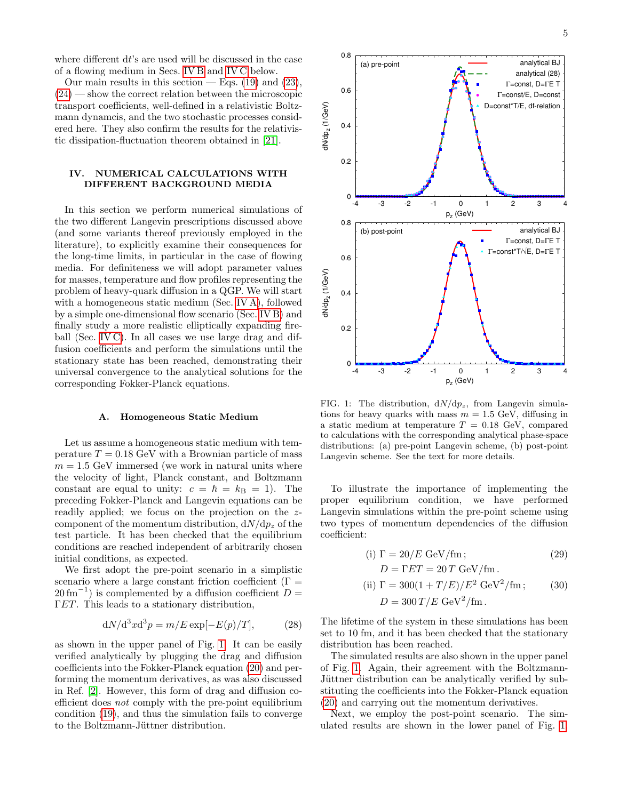where different  $dt$ 's are used will be discussed in the case of a flowing medium in Secs. [IV B](#page-5-0) and [IV C](#page-5-1) below.

Our main results in this section — Eqs.  $(19)$  and  $(23)$ , [\(24\)](#page-3-4) — show the correct relation between the microscopic transport coefficients, well-defined in a relativistic Boltzmann dynamcis, and the two stochastic processes considered here. They also confirm the results for the relativistic dissipation-fluctuation theorem obtained in [\[21\]](#page-8-4).

## <span id="page-4-0"></span>IV. NUMERICAL CALCULATIONS WITH DIFFERENT BACKGROUND MEDIA

In this section we perform numerical simulations of the two different Langevin prescriptions discussed above (and some variants thereof previously employed in the literature), to explicitly examine their consequences for the long-time limits, in particular in the case of flowing media. For definiteness we will adopt parameter values for masses, temperature and flow profiles representing the problem of heavy-quark diffusion in a QGP. We will start with a homogeneous static medium (Sec. [IV A\)](#page-4-1), followed by a simple one-dimensional flow scenario (Sec. [IV B\)](#page-5-0) and finally study a more realistic elliptically expanding fireball (Sec. [IV C\)](#page-5-1). In all cases we use large drag and diffusion coefficients and perform the simulations until the stationary state has been reached, demonstrating their universal convergence to the analytical solutions for the corresponding Fokker-Planck equations.

#### <span id="page-4-1"></span>A. Homogeneous Static Medium

Let us assume a homogeneous static medium with temperature  $T = 0.18$  GeV with a Brownian particle of mass  $m = 1.5$  GeV immersed (we work in natural units where the velocity of light, Planck constant, and Boltzmann constant are equal to unity:  $c = \hbar = k_B = 1$ . The preceding Fokker-Planck and Langevin equations can be readily applied; we focus on the projection on the zcomponent of the momentum distribution,  $dN/dp<sub>z</sub>$  of the test particle. It has been checked that the equilibrium conditions are reached independent of arbitrarily chosen initial conditions, as expected.

We first adopt the pre-point scenario in a simplistic scenario where a large constant friction coefficient ( $\Gamma =$  $20 \text{ fm}^{-1}$ ) is complemented by a diffusion coefficient  $D =$ ΓET. This leads to a stationary distribution,

$$
dN/d^3x d^3p = m/E \exp[-E(p)/T], \qquad (28)
$$

as shown in the upper panel of Fig. [1.](#page-4-2) It can be easily verified analytically by plugging the drag and diffusion coefficients into the Fokker-Planck equation [\(20\)](#page-3-2) and performing the momentum derivatives, as was also discussed in Ref. [\[2\]](#page-7-8). However, this form of drag and diffusion coefficient does not comply with the pre-point equilibrium condition [\(19\)](#page-3-3), and thus the simulation fails to converge to the Boltzmann-Jüttner distribution.



<span id="page-4-2"></span>FIG. 1: The distribution,  $dN/dp_z$ , from Langevin simulations for heavy quarks with mass  $m = 1.5$  GeV, diffusing in a static medium at temperature  $T = 0.18$  GeV, compared to calculations with the corresponding analytical phase-space distributions: (a) pre-point Langevin scheme, (b) post-point Langevin scheme. See the text for more details.

To illustrate the importance of implementing the proper equilibrium condition, we have performed Langevin simulations within the pre-point scheme using two types of momentum dependencies of the diffusion coefficient:

<span id="page-4-4"></span><span id="page-4-3"></span>(i) 
$$
\Gamma = 20/E \text{ GeV/fm};
$$
 (29)  

$$
D = \Gamma ET = 20 T \text{ GeV/fm}.
$$

(ii) 
$$
\Gamma = 300(1 + T/E)/E^2 \text{ GeV}^2/\text{fm};
$$
 (30)  
 $D = 300 \text{ T}/E \text{ GeV}^2/\text{fm}.$ 

The lifetime of the system in these simulations has been set to 10 fm, and it has been checked that the stationary distribution has been reached.

The simulated results are also shown in the upper panel of Fig. [1.](#page-4-2) Again, their agreement with the Boltzmann-Jüttner distribution can be analytically verified by substituting the coefficients into the Fokker-Planck equation [\(20\)](#page-3-2) and carrying out the momentum derivatives.

Next, we employ the post-point scenario. The simulated results are shown in the lower panel of Fig. [1.](#page-4-2)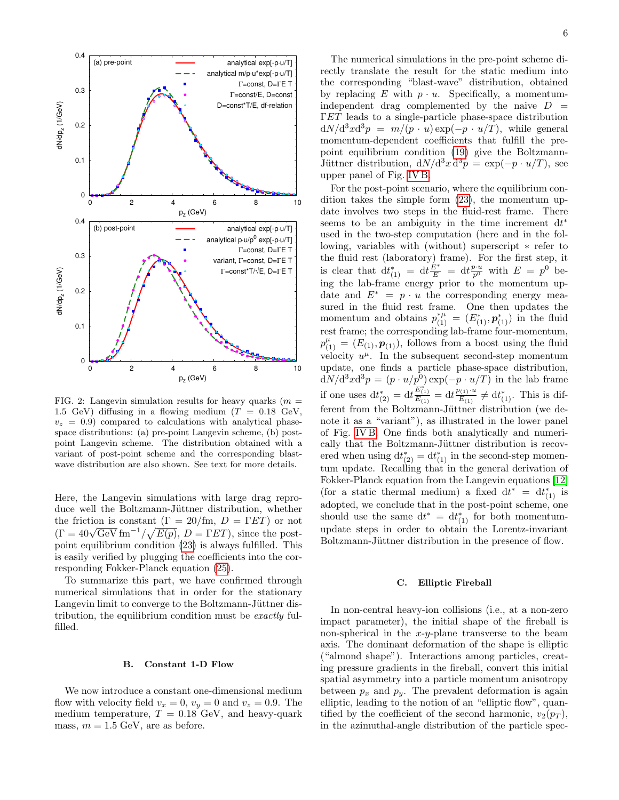

FIG. 2: Langevin simulation results for heavy quarks  $(m =$ 1.5 GeV) diffusing in a flowing medium ( $T = 0.18$  GeV,  $v_z = 0.9$ ) compared to calculations with analytical phasespace distributions: (a) pre-point Langevin scheme, (b) postpoint Langevin scheme. The distribution obtained with a variant of post-point scheme and the corresponding blastwave distribution are also shown. See text for more details.

Here, the Langevin simulations with large drag reproduce well the Boltzmann-Jüttner distribution, whether the friction is constant  $(\Gamma = 20/\text{fm}, D = \Gamma ET)$  or not the friction is constant  $(I = 20/\text{fm}, D = 1 \text{ EJ})$  or not<br> $(\Gamma = 40\sqrt{\text{GeV}} \text{ fm}^{-1}/\sqrt{E(p)}, D = \Gamma ET)$ , since the postpoint equilibrium condition [\(23\)](#page-3-6) is always fulfilled. This is easily verified by plugging the coefficients into the corresponding Fokker-Planck equation [\(25\)](#page-3-5).

To summarize this part, we have confirmed through numerical simulations that in order for the stationary Langevin limit to converge to the Boltzmann-Jüttner distribution, the equilibrium condition must be exactly fulfilled.

#### <span id="page-5-0"></span>B. Constant 1-D Flow

We now introduce a constant one-dimensional medium flow with velocity field  $v_x = 0$ ,  $v_y = 0$  and  $v_z = 0.9$ . The medium temperature,  $T = 0.18$  GeV, and heavy-quark mass,  $m = 1.5$  GeV, are as before.

The numerical simulations in the pre-point scheme directly translate the result for the static medium into the corresponding "blast-wave" distribution, obtained by replacing E with  $p \cdot u$ . Specifically, a momentumindependent drag complemented by the naive  $D =$ ΓET leads to a single-particle phase-space distribution  $dN/d^3x d^3p = m/(p \cdot u) \exp(-p \cdot u/T)$ , while general momentum-dependent coefficients that fulfill the prepoint equilibrium condition [\(19\)](#page-3-3) give the Boltzmann-Jüttner distribution,  $dN/d^3x d^3p = \exp(-p \cdot u/T)$ , see upper panel of Fig. [IV B.](#page-5-0)

For the post-point scenario, where the equilibrium condition takes the simple form [\(23\)](#page-3-6), the momentum update involves two steps in the fluid-rest frame. There seems to be an ambiguity in the time increment  $dt^*$ used in the two-step computation (here and in the following, variables with (without) superscript ∗ refer to the fluid rest (laboratory) frame). For the first step, it is clear that  $dt^*_{(1)} = dt \frac{E^*}{E} = dt \frac{p \cdot u}{p^0}$  with  $E = p^0$  being the lab-frame energy prior to the momentum update and  $E^* = p \cdot u$  the corresponding energy measured in the fluid rest frame. One then updates the momentum and obtains  $p_{(1)}^{*\mu} = (E_{(1)}^*, \mathbf{p}_{(1)}^*)$  in the fluid rest frame; the corresponding lab-frame four-momentum,  $p_{(1)}^{\mu} = (E_{(1)}, \mathbf{p}_{(1)}),$  follows from a boost using the fluid velocity  $u^{\mu}$ . In the subsequent second-step momentum update, one finds a particle phase-space distribution,  $dN/d^3x d^3p = (p \cdot u/p^0) \exp(-p \cdot u/T)$  in the lab frame if one uses  $dt_{(2)}^* = dt_{\overline{E_{(1)}}}^{\overline{E_{(1)}^*}} = dt_{\overline{E_{(1)}}}^{\overline{p_{(1)}}}$  $\frac{\partial^{(1)}(1)}{\partial E^{(1)}} \neq dt^*_{(1)}$ . This is different from the Boltzmann-Jüttner distribution (we denote it as a "variant"), as illustrated in the lower panel of Fig. [IV B.](#page-5-0) One finds both analytically and numerically that the Boltzmann-Jüttner distribution is recovered when using  $dt_{(2)}^* = dt_{(1)}^*$  in the second-step momentum update. Recalling that in the general derivation of Fokker-Planck equation from the Langevin equations [\[12\]](#page-7-5) (for a static thermal medium) a fixed  $dt^* = dt^*_{(1)}$  is adopted, we conclude that in the post-point scheme, one should use the same  $dt^* = dt^*_{(1)}$  for both momentumupdate steps in order to obtain the Lorentz-invariant Boltzmann-Jüttner distribution in the presence of flow.

### <span id="page-5-1"></span>C. Elliptic Fireball

In non-central heavy-ion collisions (i.e., at a non-zero impact parameter), the initial shape of the fireball is non-spherical in the  $x-y$ -plane transverse to the beam axis. The dominant deformation of the shape is elliptic ("almond shape"). Interactions among particles, creating pressure gradients in the fireball, convert this initial spatial asymmetry into a particle momentum anisotropy between  $p_x$  and  $p_y$ . The prevalent deformation is again elliptic, leading to the notion of an "elliptic flow", quantified by the coefficient of the second harmonic,  $v_2(p_T)$ , in the azimuthal-angle distribution of the particle spec-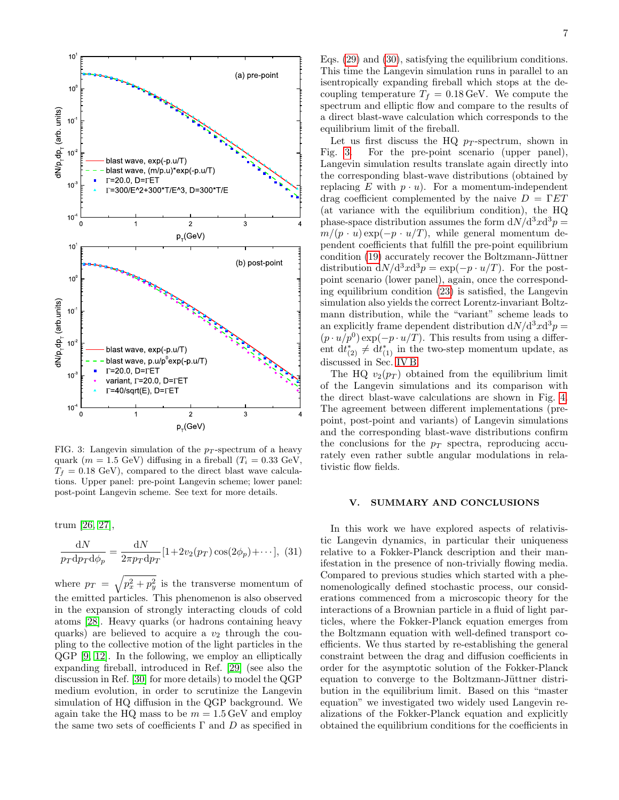

<span id="page-6-1"></span>FIG. 3: Langevin simulation of the  $p_T$ -spectrum of a heavy quark ( $m = 1.5$  GeV) diffusing in a fireball ( $T_i = 0.33$  GeV,  $T_f = 0.18$  GeV), compared to the direct blast wave calculations. Upper panel: pre-point Langevin scheme; lower panel: post-point Langevin scheme. See text for more details.

trum [\[26,](#page-8-9) [27\]](#page-8-10),

$$
\frac{\mathrm{d}N}{p_T \mathrm{d}p_T \mathrm{d}\phi_p} = \frac{\mathrm{d}N}{2\pi p_T \mathrm{d}p_T} [1 + 2v_2(p_T)\cos(2\phi_p) + \cdots], \tag{31}
$$

where  $p_T = \sqrt{p_x^2 + p_y^2}$  is the transverse momentum of the emitted particles. This phenomenon is also observed in the expansion of strongly interacting clouds of cold atoms [\[28\]](#page-8-11). Heavy quarks (or hadrons containing heavy quarks) are believed to acquire a  $v_2$  through the coupling to the collective motion of the light particles in the QGP [\[9,](#page-7-6) [12\]](#page-7-5). In the following, we employ an elliptically expanding fireball, introduced in Ref. [\[29\]](#page-8-12) (see also the discussion in Ref. [\[30\]](#page-8-13) for more details) to model the QGP medium evolution, in order to scrutinize the Langevin simulation of HQ diffusion in the QGP background. We again take the HQ mass to be  $m = 1.5 \,\text{GeV}$  and employ the same two sets of coefficients  $\Gamma$  and  $D$  as specified in

Eqs. [\(29\)](#page-4-3) and [\(30\)](#page-4-4), satisfying the equilibrium conditions. This time the Langevin simulation runs in parallel to an isentropically expanding fireball which stops at the decoupling temperature  $T_f = 0.18 \,\text{GeV}$ . We compute the spectrum and elliptic flow and compare to the results of a direct blast-wave calculation which corresponds to the equilibrium limit of the fireball.

Let us first discuss the HQ  $p_T$ -spectrum, shown in Fig. [3.](#page-6-1) For the pre-point scenario (upper panel), Langevin simulation results translate again directly into the corresponding blast-wave distributions (obtained by replacing E with  $p \cdot u$ . For a momentum-independent drag coefficient complemented by the naive  $D = \Gamma ET$ (at variance with the equilibrium condition), the HQ phase-space distribution assumes the form  $dN/d^3x d^3p =$  $m/(p \cdot u) \exp(-p \cdot u/T)$ , while general momentum dependent coefficients that fulfill the pre-point equilibrium condition  $(19)$  accurately recover the Boltzmann-Jüttner distribution  $dN/d^3x d^3p = \exp(-p \cdot u/T)$ . For the postpoint scenario (lower panel), again, once the corresponding equilibrium condition [\(23\)](#page-3-6) is satisfied, the Langevin simulation also yields the correct Lorentz-invariant Boltzmann distribution, while the "variant" scheme leads to an explicitly frame dependent distribution  $dN/d^3x d^3p =$  $(p \cdot u/p^0) \exp(-p \cdot u/T)$ . This results from using a different  $dt_{(2)}^* \neq dt_{(1)}^*$  in the two-step momentum update, as discussed in Sec. [IV B.](#page-5-0)

The HQ  $v_2(p_T)$  obtained from the equilibrium limit of the Langevin simulations and its comparison with the direct blast-wave calculations are shown in Fig. [4.](#page-7-13) The agreement between different implementations (prepoint, post-point and variants) of Langevin simulations and the corresponding blast-wave distributions confirm the conclusions for the  $p_T$  spectra, reproducing accurately even rather subtle angular modulations in relativistic flow fields.

#### <span id="page-6-0"></span>V. SUMMARY AND CONCLUSIONS

In this work we have explored aspects of relativistic Langevin dynamics, in particular their uniqueness relative to a Fokker-Planck description and their manifestation in the presence of non-trivially flowing media. Compared to previous studies which started with a phenomenologically defined stochastic process, our considerations commenced from a microscopic theory for the interactions of a Brownian particle in a fluid of light particles, where the Fokker-Planck equation emerges from the Boltzmann equation with well-defined transport coefficients. We thus started by re-establishing the general constraint between the drag and diffusion coefficients in order for the asymptotic solution of the Fokker-Planck equation to converge to the Boltzmann-Jüttner distribution in the equilibrium limit. Based on this "master equation" we investigated two widely used Langevin realizations of the Fokker-Planck equation and explicitly obtained the equilibrium conditions for the coefficients in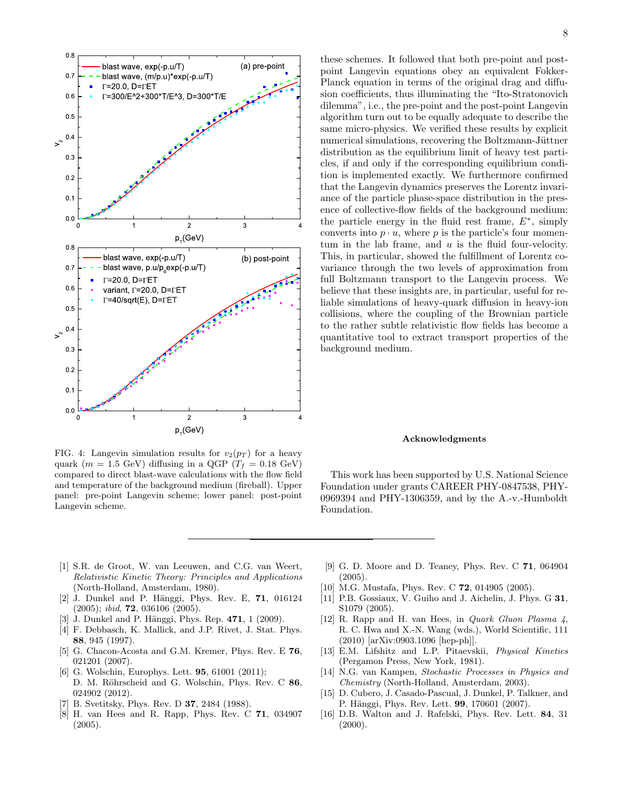

<span id="page-7-13"></span>FIG. 4: Langevin simulation results for  $v_2(p_T)$  for a heavy quark ( $m = 1.5$  GeV) diffusing in a QGP ( $T_f = 0.18$  GeV) compared to direct blast-wave calculations with the flow field and temperature of the background medium (fireball). Upper panel: pre-point Langevin scheme; lower panel: post-point Langevin scheme.

these schemes. It followed that both pre-point and postpoint Langevin equations obey an equivalent Fokker-Planck equation in terms of the original drag and diffusion coefficients, thus illuminating the "Ito-Stratonovich dilemma", i.e., the pre-point and the post-point Langevin algorithm turn out to be equally adequate to describe the same micro-physics. We verified these results by explicit numerical simulations, recovering the Boltzmann-Jüttner distribution as the equilibrium limit of heavy test particles, if and only if the corresponding equilibrium condition is implemented exactly. We furthermore confirmed that the Langevin dynamics preserves the Lorentz invariance of the particle phase-space distribution in the presence of collective-flow fields of the background medium: the particle energy in the fluid rest frame,  $E^*$ , simply converts into  $p \cdot u$ , where p is the particle's four momentum in the lab frame, and  $u$  is the fluid four-velocity. This, in particular, showed the fulfillment of Lorentz covariance through the two levels of approximation from full Boltzmann transport to the Langevin process. We believe that these insights are, in particular, useful for reliable simulations of heavy-quark diffusion in heavy-ion collisions, where the coupling of the Brownian particle to the rather subtle relativistic flow fields has become a quantitative tool to extract transport properties of the background medium.

#### Acknowledgments

This work has been supported by U.S. National Science Foundation under grants CAREER PHY-0847538, PHY-0969394 and PHY-1306359, and by the A.-v.-Humboldt Foundation.

- <span id="page-7-0"></span>[1] S.R. de Groot, W. van Leeuwen, and C.G. van Weert, Relativistic Kinetic Theory: Principles and Applications (North-Holland, Amsterdam, 1980).
- <span id="page-7-8"></span>[2] J. Dunkel and P. Hänggi, Phys. Rev. E, 71, 016124 (2005); ibid, 72, 036106 (2005).
- <span id="page-7-9"></span>[3] J. Dunkel and P. Hänggi, Phys. Rep.  $471, 1$  (2009).
- [4] F. Debbasch, K. Mallick, and J.P. Rivet, J. Stat. Phys. 88, 945 (1997).
- <span id="page-7-1"></span>[5] G. Chacon-Acosta and G.M. Kremer, Phys. Rev. E 76, 021201 (2007).
- <span id="page-7-2"></span>[6] G. Wolschin, Europhys. Lett. **95**, 61001 (2011); D. M. Röhrscheid and G. Wolschin, Phys. Rev. C 86, 024902 (2012).
- <span id="page-7-3"></span>B. Svetitsky, Phys. Rev. D **37**, 2484 (1988).
- [8] H. van Hees and R. Rapp, Phys. Rev. C 71, 034907  $(2005).$
- <span id="page-7-6"></span>[9] G. D. Moore and D. Teaney, Phys. Rev. C 71, 064904 (2005).
- [10] M.G. Mustafa, Phys. Rev. C **72**, 014905 (2005).
- <span id="page-7-4"></span>[11] P.B. Gossiaux, V. Guiho and J. Aichelin, J. Phys. G 31, S1079 (2005).
- <span id="page-7-5"></span>[12] R. Rapp and H. van Hees, in Quark Gluon Plasma 4, R. C. Hwa and X.-N. Wang (wds.), World Scientific, 111 (2010) [arXiv:0903.1096 [hep-ph]].
- <span id="page-7-7"></span>[13] E.M. Lifshitz and L.P. Pitaevskii, Physical Kinetics (Pergamon Press, New York, 1981).
- <span id="page-7-10"></span>[14] N.G. van Kampen, Stochastic Processes in Physics and Chemistry (North-Holland, Amsterdam, 2003).
- <span id="page-7-11"></span>[15] D. Cubero, J. Casado-Pascual, J. Dunkel, P. Talkner, and P. Hänggi, Phys. Rev. Lett. **99**, 170601 (2007).
- <span id="page-7-12"></span>[16] D.B. Walton and J. Rafelski, Phys. Rev. Lett. 84, 31  $(2000).$